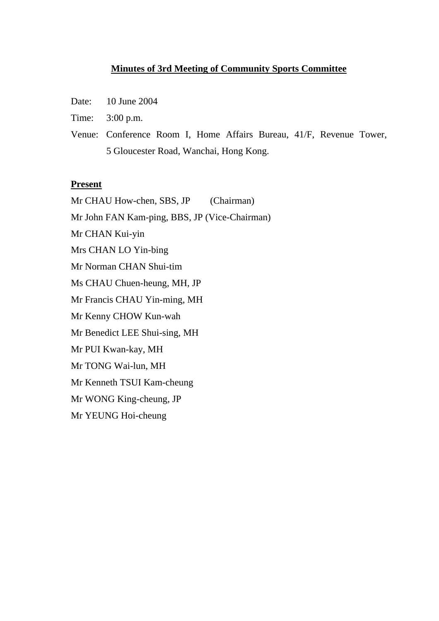#### **Minutes of 3rd Meeting of Community Sports Committee**

- Date: 10 June 2004
- Time: 3:00 p.m.
- Venue: Conference Room I, Home Affairs Bureau, 41/F, Revenue Tower, 5 Gloucester Road, Wanchai, Hong Kong.

#### **Present**

Mr CHAU How-chen, SBS, JP (Chairman) Mr John FAN Kam-ping, BBS, JP (Vice-Chairman) Mr CHAN Kui-yin Mrs CHAN LO Yin-bing Mr Norman CHAN Shui-tim Ms CHAU Chuen-heung, MH, JP Mr Francis CHAU Yin-ming, MH Mr Kenny CHOW Kun-wah Mr Benedict LEE Shui-sing, MH Mr PUI Kwan-kay, MH Mr TONG Wai-lun, MH Mr Kenneth TSUI Kam-cheung Mr WONG King-cheung, JP Mr YEUNG Hoi-cheung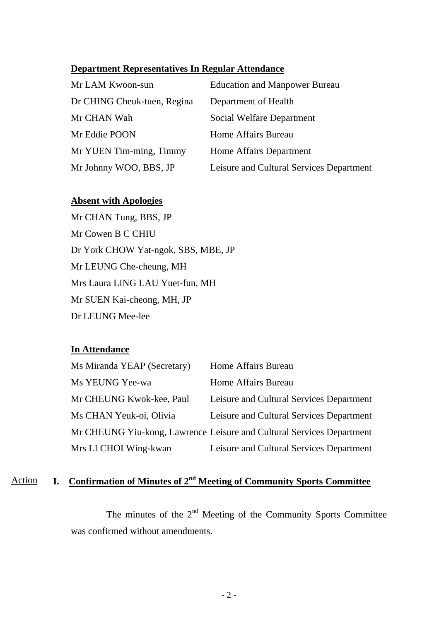#### **Department Representatives In Regular Attendance**

| Mr LAM Kwoon-sun            | <b>Education and Manpower Bureau</b>     |
|-----------------------------|------------------------------------------|
| Dr CHING Cheuk-tuen, Regina | Department of Health                     |
| Mr CHAN Wah                 | Social Welfare Department                |
| Mr Eddie POON               | Home Affairs Bureau                      |
| Mr YUEN Tim-ming, Timmy     | Home Affairs Department                  |
| Mr Johnny WOO, BBS, JP      | Leisure and Cultural Services Department |

#### **Absent with Apologies**

Mr CHAN Tung, BBS, JP Mr Cowen B C CHIU Dr York CHOW Yat-ngok, SBS, MBE, JP Mr LEUNG Che-cheung, MH Mrs Laura LING LAU Yuet-fun, MH Mr SUEN Kai-cheong, MH, JP Dr LEUNG Mee-lee

### **In Attendance**

| Ms Miranda YEAP (Secretary) | Home Affairs Bureau                                                   |
|-----------------------------|-----------------------------------------------------------------------|
| Ms YEUNG Yee-wa             | Home Affairs Bureau                                                   |
| Mr CHEUNG Kwok-kee, Paul    | Leisure and Cultural Services Department                              |
| Ms CHAN Yeuk-oi, Olivia     | Leisure and Cultural Services Department                              |
|                             | Mr CHEUNG Yiu-kong, Lawrence Leisure and Cultural Services Department |
| Mrs LI CHOI Wing-kwan       | Leisure and Cultural Services Department                              |

# Action **I. Confirmation of Minutes of 2nd Meeting of Community Sports Committee**

The minutes of the  $2<sup>nd</sup>$  Meeting of the Community Sports Committee was confirmed without amendments.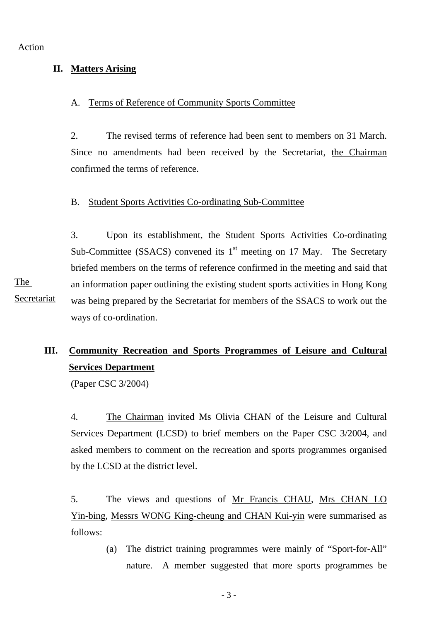#### **II. Matters Arising**

#### A. Terms of Reference of Community Sports Committee

2. The revised terms of reference had been sent to members on 31 March. Since no amendments had been received by the Secretariat, the Chairman confirmed the terms of reference.

#### B. Student Sports Activities Co-ordinating Sub-Committee

3. Upon its establishment, the Student Sports Activities Co-ordinating Sub-Committee (SSACS) convened its  $1<sup>st</sup>$  meeting on 17 May. The Secretary briefed members on the terms of reference confirmed in the meeting and said that an information paper outlining the existing student sports activities in Hong Kong was being prepared by the Secretariat for members of the SSACS to work out the ways of co-ordination. The Secretariat

## **III. Community Recreation and Sports Programmes of Leisure and Cultural Services Department**

(Paper CSC 3/2004)

4. The Chairman invited Ms Olivia CHAN of the Leisure and Cultural Services Department (LCSD) to brief members on the Paper CSC 3/2004, and asked members to comment on the recreation and sports programmes organised by the LCSD at the district level.

5. The views and questions of Mr Francis CHAU, Mrs CHAN LO Yin-bing, Messrs WONG King-cheung and CHAN Kui-yin were summarised as follows:

> (a) The district training programmes were mainly of "Sport-for-All" nature. A member suggested that more sports programmes be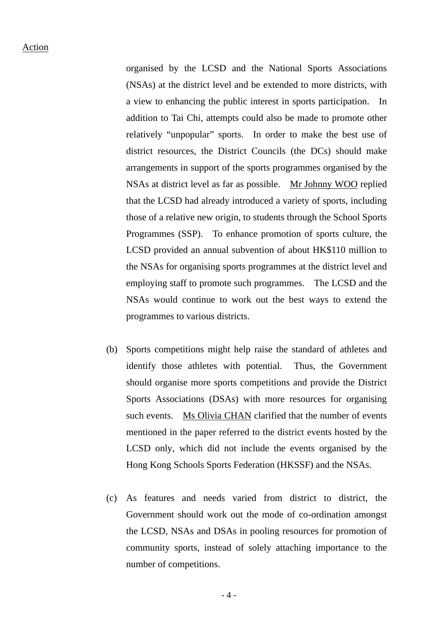organised by the LCSD and the National Sports Associations (NSAs) at the district level and be extended to more districts, with a view to enhancing the public interest in sports participation. In addition to Tai Chi, attempts could also be made to promote other relatively "unpopular" sports. In order to make the best use of district resources, the District Councils (the DCs) should make arrangements in support of the sports programmes organised by the NSAs at district level as far as possible. Mr Johnny WOO replied that the LCSD had already introduced a variety of sports, including those of a relative new origin, to students through the School Sports Programmes (SSP). To enhance promotion of sports culture, the LCSD provided an annual subvention of about HK\$110 million to the NSAs for organising sports programmes at the district level and employing staff to promote such programmes. The LCSD and the NSAs would continue to work out the best ways to extend the programmes to various districts.

- (b) Sports competitions might help raise the standard of athletes and identify those athletes with potential. Thus, the Government should organise more sports competitions and provide the District Sports Associations (DSAs) with more resources for organising such events. Ms Olivia CHAN clarified that the number of events mentioned in the paper referred to the district events hosted by the LCSD only, which did not include the events organised by the Hong Kong Schools Sports Federation (HKSSF) and the NSAs.
- (c) As features and needs varied from district to district, the Government should work out the mode of co-ordination amongst the LCSD, NSAs and DSAs in pooling resources for promotion of community sports, instead of solely attaching importance to the number of competitions.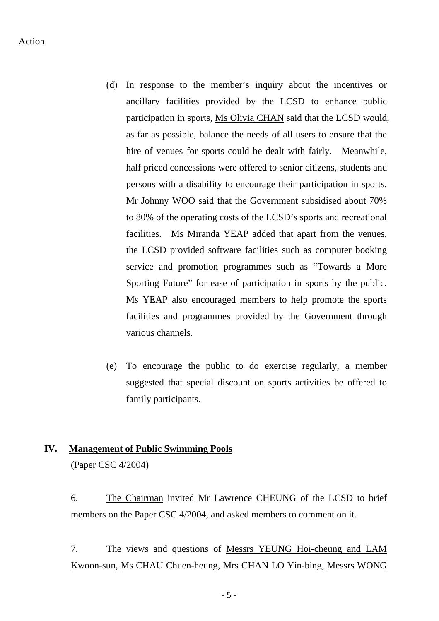- (d) In response to the member's inquiry about the incentives or ancillary facilities provided by the LCSD to enhance public participation in sports, Ms Olivia CHAN said that the LCSD would, as far as possible, balance the needs of all users to ensure that the hire of venues for sports could be dealt with fairly. Meanwhile, half priced concessions were offered to senior citizens, students and persons with a disability to encourage their participation in sports. Mr Johnny WOO said that the Government subsidised about 70% to 80% of the operating costs of the LCSD's sports and recreational facilities. Ms Miranda YEAP added that apart from the venues, the LCSD provided software facilities such as computer booking service and promotion programmes such as "Towards a More Sporting Future" for ease of participation in sports by the public. Ms YEAP also encouraged members to help promote the sports facilities and programmes provided by the Government through various channels.
- (e) To encourage the public to do exercise regularly, a member suggested that special discount on sports activities be offered to family participants.

#### **IV. Management of Public Swimming Pools**

(Paper CSC 4/2004)

6. The Chairman invited Mr Lawrence CHEUNG of the LCSD to brief members on the Paper CSC 4/2004, and asked members to comment on it.

7. The views and questions of Messrs YEUNG Hoi-cheung and LAM Kwoon-sun, Ms CHAU Chuen-heung, Mrs CHAN LO Yin-bing, Messrs WONG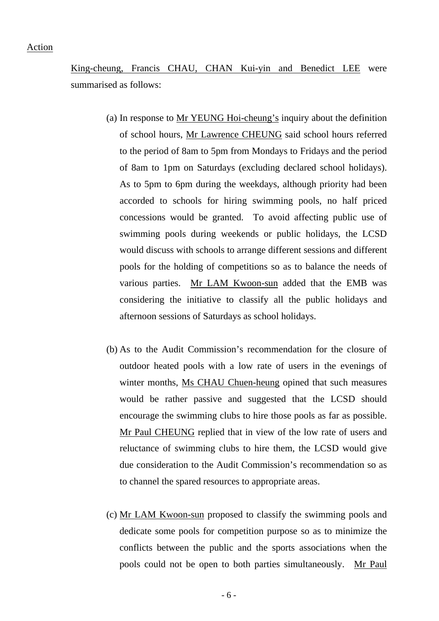King-cheung, Francis CHAU, CHAN Kui-yin and Benedict LEE were summarised as follows:

- (a) In response to Mr YEUNG Hoi-cheung's inquiry about the definition of school hours, Mr Lawrence CHEUNG said school hours referred to the period of 8am to 5pm from Mondays to Fridays and the period of 8am to 1pm on Saturdays (excluding declared school holidays). As to 5pm to 6pm during the weekdays, although priority had been accorded to schools for hiring swimming pools, no half priced concessions would be granted. To avoid affecting public use of swimming pools during weekends or public holidays, the LCSD would discuss with schools to arrange different sessions and different pools for the holding of competitions so as to balance the needs of various parties. Mr LAM Kwoon-sun added that the EMB was considering the initiative to classify all the public holidays and afternoon sessions of Saturdays as school holidays.
- (b) As to the Audit Commission's recommendation for the closure of outdoor heated pools with a low rate of users in the evenings of winter months, Ms CHAU Chuen-heung opined that such measures would be rather passive and suggested that the LCSD should encourage the swimming clubs to hire those pools as far as possible. Mr Paul CHEUNG replied that in view of the low rate of users and reluctance of swimming clubs to hire them, the LCSD would give due consideration to the Audit Commission's recommendation so as to channel the spared resources to appropriate areas.
- (c) Mr LAM Kwoon-sun proposed to classify the swimming pools and dedicate some pools for competition purpose so as to minimize the conflicts between the public and the sports associations when the pools could not be open to both parties simultaneously. Mr Paul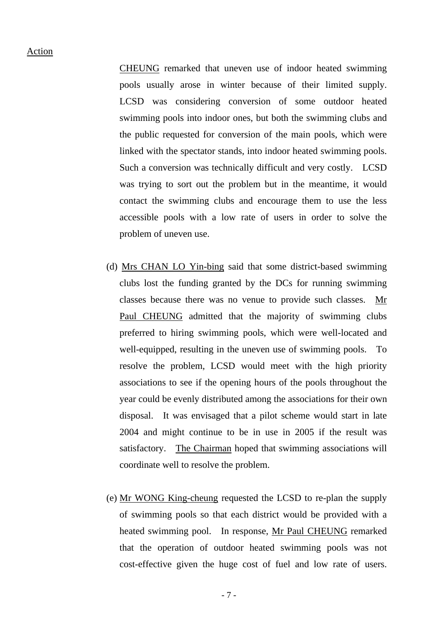CHEUNG remarked that uneven use of indoor heated swimming pools usually arose in winter because of their limited supply. LCSD was considering conversion of some outdoor heated swimming pools into indoor ones, but both the swimming clubs and the public requested for conversion of the main pools, which were linked with the spectator stands, into indoor heated swimming pools. Such a conversion was technically difficult and very costly. LCSD was trying to sort out the problem but in the meantime, it would contact the swimming clubs and encourage them to use the less accessible pools with a low rate of users in order to solve the problem of uneven use.

- (d) Mrs CHAN LO Yin-bing said that some district-based swimming clubs lost the funding granted by the DCs for running swimming classes because there was no venue to provide such classes. Mr Paul CHEUNG admitted that the majority of swimming clubs preferred to hiring swimming pools, which were well-located and well-equipped, resulting in the uneven use of swimming pools. To resolve the problem, LCSD would meet with the high priority associations to see if the opening hours of the pools throughout the year could be evenly distributed among the associations for their own disposal. It was envisaged that a pilot scheme would start in late 2004 and might continue to be in use in 2005 if the result was satisfactory. The Chairman hoped that swimming associations will coordinate well to resolve the problem.
- (e) Mr WONG King-cheung requested the LCSD to re-plan the supply of swimming pools so that each district would be provided with a heated swimming pool. In response, Mr Paul CHEUNG remarked that the operation of outdoor heated swimming pools was not cost-effective given the huge cost of fuel and low rate of users.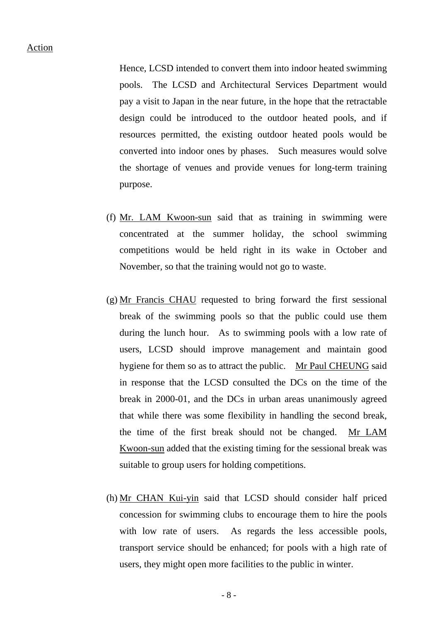Hence, LCSD intended to convert them into indoor heated swimming pools. The LCSD and Architectural Services Department would pay a visit to Japan in the near future, in the hope that the retractable design could be introduced to the outdoor heated pools, and if resources permitted, the existing outdoor heated pools would be converted into indoor ones by phases. Such measures would solve the shortage of venues and provide venues for long-term training purpose.

- (f) Mr. LAM Kwoon-sun said that as training in swimming were concentrated at the summer holiday, the school swimming competitions would be held right in its wake in October and November, so that the training would not go to waste.
- (g) Mr Francis CHAU requested to bring forward the first sessional break of the swimming pools so that the public could use them during the lunch hour. As to swimming pools with a low rate of users, LCSD should improve management and maintain good hygiene for them so as to attract the public. Mr Paul CHEUNG said in response that the LCSD consulted the DCs on the time of the break in 2000-01, and the DCs in urban areas unanimously agreed that while there was some flexibility in handling the second break, the time of the first break should not be changed. Mr LAM Kwoon-sun added that the existing timing for the sessional break was suitable to group users for holding competitions.
- (h) Mr CHAN Kui-yin said that LCSD should consider half priced concession for swimming clubs to encourage them to hire the pools with low rate of users. As regards the less accessible pools, transport service should be enhanced; for pools with a high rate of users, they might open more facilities to the public in winter.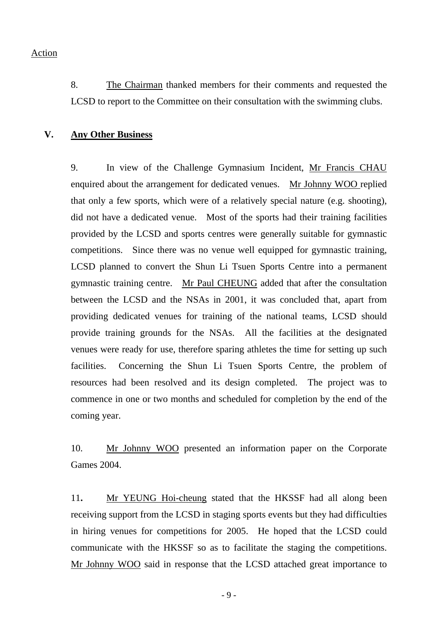8. The Chairman thanked members for their comments and requested the LCSD to report to the Committee on their consultation with the swimming clubs.

#### **V. Any Other Business**

9. In view of the Challenge Gymnasium Incident, Mr Francis CHAU enquired about the arrangement for dedicated venues. Mr Johnny WOO replied that only a few sports, which were of a relatively special nature (e.g. shooting), did not have a dedicated venue. Most of the sports had their training facilities provided by the LCSD and sports centres were generally suitable for gymnastic competitions. Since there was no venue well equipped for gymnastic training, LCSD planned to convert the Shun Li Tsuen Sports Centre into a permanent gymnastic training centre. Mr Paul CHEUNG added that after the consultation between the LCSD and the NSAs in 2001, it was concluded that, apart from providing dedicated venues for training of the national teams, LCSD should provide training grounds for the NSAs. All the facilities at the designated venues were ready for use, therefore sparing athletes the time for setting up such facilities. Concerning the Shun Li Tsuen Sports Centre, the problem of resources had been resolved and its design completed. The project was to commence in one or two months and scheduled for completion by the end of the coming year.

10. Mr Johnny WOO presented an information paper on the Corporate Games 2004.

11**.** Mr YEUNG Hoi-cheung stated that the HKSSF had all along been receiving support from the LCSD in staging sports events but they had difficulties in hiring venues for competitions for 2005. He hoped that the LCSD could communicate with the HKSSF so as to facilitate the staging the competitions. Mr Johnny WOO said in response that the LCSD attached great importance to

 $-9 -$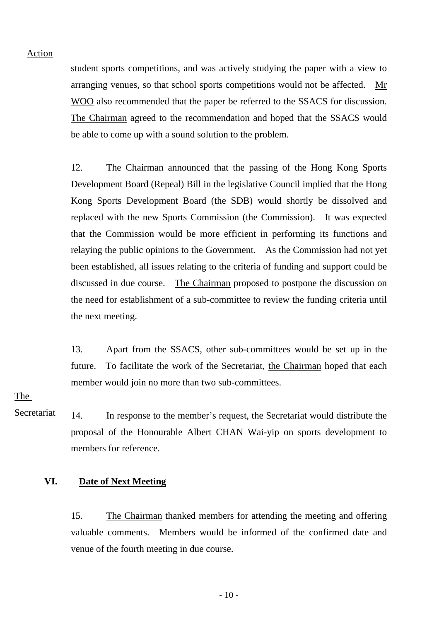student sports competitions, and was actively studying the paper with a view to arranging venues, so that school sports competitions would not be affected. Mr WOO also recommended that the paper be referred to the SSACS for discussion. The Chairman agreed to the recommendation and hoped that the SSACS would be able to come up with a sound solution to the problem.

12. The Chairman announced that the passing of the Hong Kong Sports Development Board (Repeal) Bill in the legislative Council implied that the Hong Kong Sports Development Board (the SDB) would shortly be dissolved and replaced with the new Sports Commission (the Commission). It was expected that the Commission would be more efficient in performing its functions and relaying the public opinions to the Government. As the Commission had not yet been established, all issues relating to the criteria of funding and support could be discussed in due course. The Chairman proposed to postpone the discussion on the need for establishment of a sub-committee to review the funding criteria until the next meeting.

13. Apart from the SSACS, other sub-committees would be set up in the future. To facilitate the work of the Secretariat, the Chairman hoped that each member would join no more than two sub-committees.

The

Secretariat 14. In response to the member's request, the Secretariat would distribute the proposal of the Honourable Albert CHAN Wai-yip on sports development to members for reference.

### **VI. Date of Next Meeting**

15. The Chairman thanked members for attending the meeting and offering valuable comments. Members would be informed of the confirmed date and venue of the fourth meeting in due course.

 $-10-$